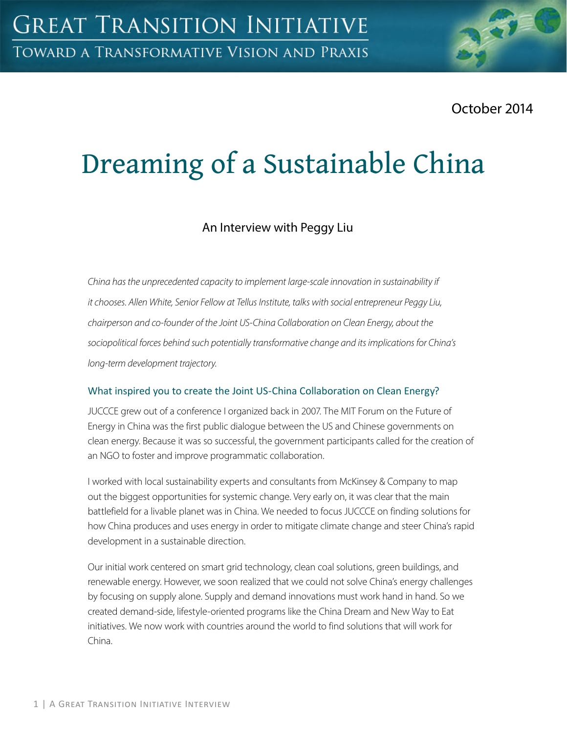October 2014

# Dreaming of a Sustainable China

# An Interview with Peggy Liu

*China has the unprecedented capacity to implement large-scale innovation in sustainability if it chooses. Allen White, Senior Fellow at Tellus Institute, talks with social entrepreneur Peggy Liu, chairperson and co-founder of the Joint US-China Collaboration on Clean Energy, about the sociopolitical forces behind such potentially transformative change and its implications for China's long-term development trajectory.*

#### What inspired you to create the Joint US-China Collaboration on Clean Energy?

JUCCCE grew out of a conference I organized back in 2007. The MIT Forum on the Future of Energy in China was the first public dialogue between the US and Chinese governments on clean energy. Because it was so successful, the government participants called for the creation of an NGO to foster and improve programmatic collaboration.

I worked with local sustainability experts and consultants from McKinsey & Company to map out the biggest opportunities for systemic change. Very early on, it was clear that the main battlefield for a livable planet was in China. We needed to focus JUCCCE on finding solutions for how China produces and uses energy in order to mitigate climate change and steer China's rapid development in a sustainable direction.

Our initial work centered on smart grid technology, clean coal solutions, green buildings, and renewable energy. However, we soon realized that we could not solve China's energy challenges by focusing on supply alone. Supply and demand innovations must work hand in hand. So we created demand-side, lifestyle-oriented programs like the China Dream and New Way to Eat initiatives. We now work with countries around the world to find solutions that will work for China.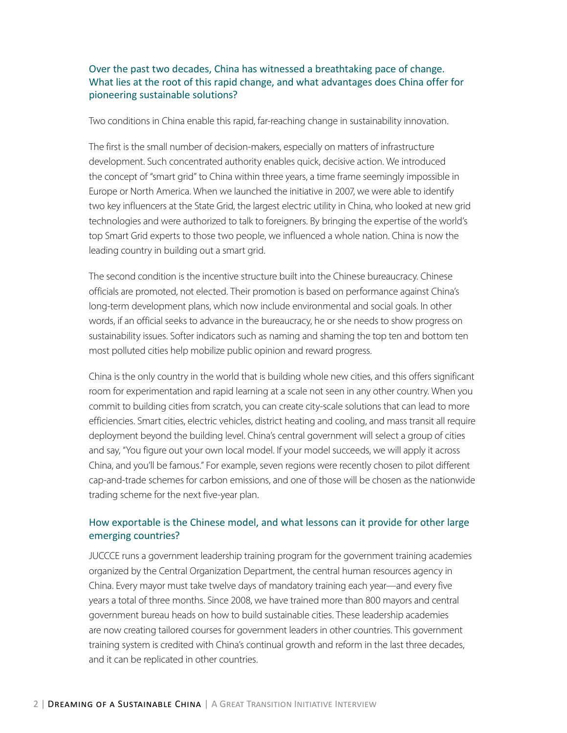#### Over the past two decades, China has witnessed a breathtaking pace of change. What lies at the root of this rapid change, and what advantages does China offer for pioneering sustainable solutions?

Two conditions in China enable this rapid, far-reaching change in sustainability innovation.

The first is the small number of decision-makers, especially on matters of infrastructure development. Such concentrated authority enables quick, decisive action. We introduced the concept of "smart grid" to China within three years, a time frame seemingly impossible in Europe or North America. When we launched the initiative in 2007, we were able to identify two key influencers at the State Grid, the largest electric utility in China, who looked at new grid technologies and were authorized to talk to foreigners. By bringing the expertise of the world's top Smart Grid experts to those two people, we influenced a whole nation. China is now the leading country in building out a smart grid.

The second condition is the incentive structure built into the Chinese bureaucracy. Chinese officials are promoted, not elected. Their promotion is based on performance against China's long-term development plans, which now include environmental and social goals. In other words, if an official seeks to advance in the bureaucracy, he or she needs to show progress on sustainability issues. Softer indicators such as naming and shaming the top ten and bottom ten most polluted cities help mobilize public opinion and reward progress.

China is the only country in the world that is building whole new cities, and this offers significant room for experimentation and rapid learning at a scale not seen in any other country. When you commit to building cities from scratch, you can create city-scale solutions that can lead to more efficiencies. Smart cities, electric vehicles, district heating and cooling, and mass transit all require deployment beyond the building level. China's central government will select a group of cities and say, "You figure out your own local model. If your model succeeds, we will apply it across China, and you'll be famous." For example, seven regions were recently chosen to pilot different cap-and-trade schemes for carbon emissions, and one of those will be chosen as the nationwide trading scheme for the next five-year plan.

#### How exportable is the Chinese model, and what lessons can it provide for other large emerging countries?

JUCCCE runs a government leadership training program for the government training academies organized by the Central Organization Department, the central human resources agency in China. Every mayor must take twelve days of mandatory training each year—and every five years a total of three months. Since 2008, we have trained more than 800 mayors and central government bureau heads on how to build sustainable cities. These leadership academies are now creating tailored courses for government leaders in other countries. This government training system is credited with China's continual growth and reform in the last three decades, and it can be replicated in other countries.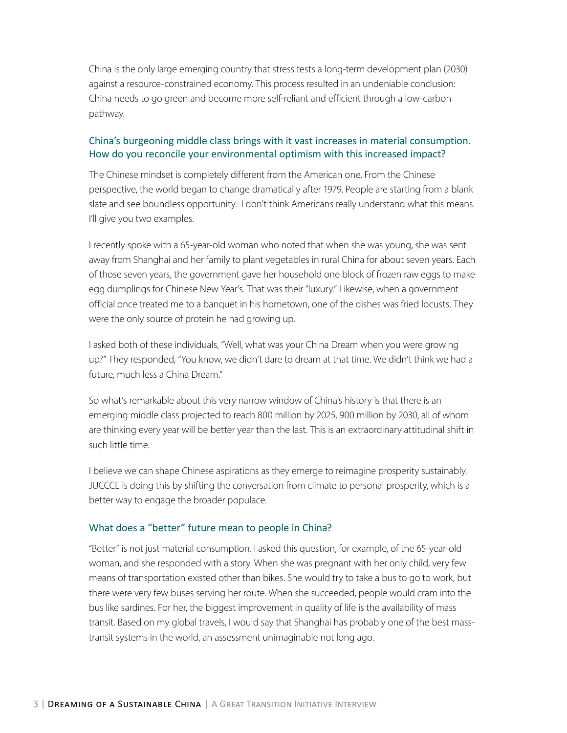China is the only large emerging country that stress tests a long-term development plan (2030) against a resource-constrained economy. This process resulted in an undeniable conclusion: China needs to go green and become more self-reliant and efficient through a low-carbon pathway.

#### China's burgeoning middle class brings with it vast increases in material consumption. How do you reconcile your environmental optimism with this increased impact?

The Chinese mindset is completely different from the American one. From the Chinese perspective, the world began to change dramatically after 1979. People are starting from a blank slate and see boundless opportunity. I don't think Americans really understand what this means. I'll give you two examples.

I recently spoke with a 65-year-old woman who noted that when she was young, she was sent away from Shanghai and her family to plant vegetables in rural China for about seven years. Each of those seven years, the government gave her household one block of frozen raw eggs to make egg dumplings for Chinese New Year's. That was their "luxury." Likewise, when a government official once treated me to a banquet in his hometown, one of the dishes was fried locusts. They were the only source of protein he had growing up.

I asked both of these individuals, "Well, what was your China Dream when you were growing up?" They responded, "You know, we didn't dare to dream at that time. We didn't think we had a future, much less a China Dream."

So what's remarkable about this very narrow window of China's history is that there is an emerging middle class projected to reach 800 million by 2025, 900 million by 2030, all of whom are thinking every year will be better year than the last. This is an extraordinary attitudinal shift in such little time.

I believe we can shape Chinese aspirations as they emerge to reimagine prosperity sustainably. JUCCCE is doing this by shifting the conversation from climate to personal prosperity, which is a better way to engage the broader populace.

#### What does a "better" future mean to people in China?

"Better" is not just material consumption. I asked this question, for example, of the 65-year-old woman, and she responded with a story. When she was pregnant with her only child, very few means of transportation existed other than bikes. She would try to take a bus to go to work, but there were very few buses serving her route. When she succeeded, people would cram into the bus like sardines. For her, the biggest improvement in quality of life is the availability of mass transit. Based on my global travels, I would say that Shanghai has probably one of the best masstransit systems in the world, an assessment unimaginable not long ago.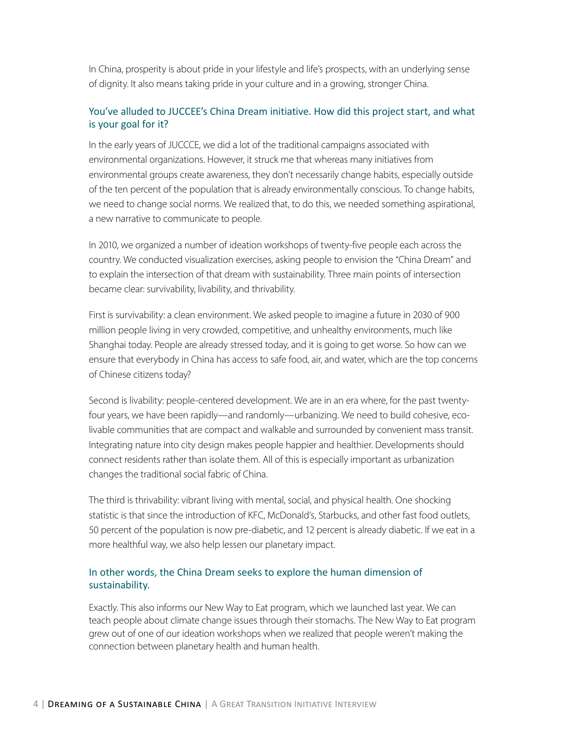In China, prosperity is about pride in your lifestyle and life's prospects, with an underlying sense of dignity. It also means taking pride in your culture and in a growing, stronger China.

#### You've alluded to JUCCEE's China Dream initiative. How did this project start, and what is your goal for it?

In the early years of JUCCCE, we did a lot of the traditional campaigns associated with environmental organizations. However, it struck me that whereas many initiatives from environmental groups create awareness, they don't necessarily change habits, especially outside of the ten percent of the population that is already environmentally conscious. To change habits, we need to change social norms. We realized that, to do this, we needed something aspirational, a new narrative to communicate to people.

In 2010, we organized a number of ideation workshops of twenty-five people each across the country. We conducted visualization exercises, asking people to envision the "China Dream" and to explain the intersection of that dream with sustainability. Three main points of intersection became clear: survivability, livability, and thrivability.

First is survivability: a clean environment. We asked people to imagine a future in 2030 of 900 million people living in very crowded, competitive, and unhealthy environments, much like Shanghai today. People are already stressed today, and it is going to get worse. So how can we ensure that everybody in China has access to safe food, air, and water, which are the top concerns of Chinese citizens today?

Second is livability: people-centered development. We are in an era where, for the past twentyfour years, we have been rapidly—and randomly—urbanizing. We need to build cohesive, ecolivable communities that are compact and walkable and surrounded by convenient mass transit. Integrating nature into city design makes people happier and healthier. Developments should connect residents rather than isolate them. All of this is especially important as urbanization changes the traditional social fabric of China.

The third is thrivability: vibrant living with mental, social, and physical health. One shocking statistic is that since the introduction of KFC, McDonald's, Starbucks, and other fast food outlets, 50 percent of the population is now pre-diabetic, and 12 percent is already diabetic. If we eat in a more healthful way, we also help lessen our planetary impact.

#### In other words, the China Dream seeks to explore the human dimension of sustainability.

Exactly. This also informs our New Way to Eat program, which we launched last year. We can teach people about climate change issues through their stomachs. The New Way to Eat program grew out of one of our ideation workshops when we realized that people weren't making the connection between planetary health and human health.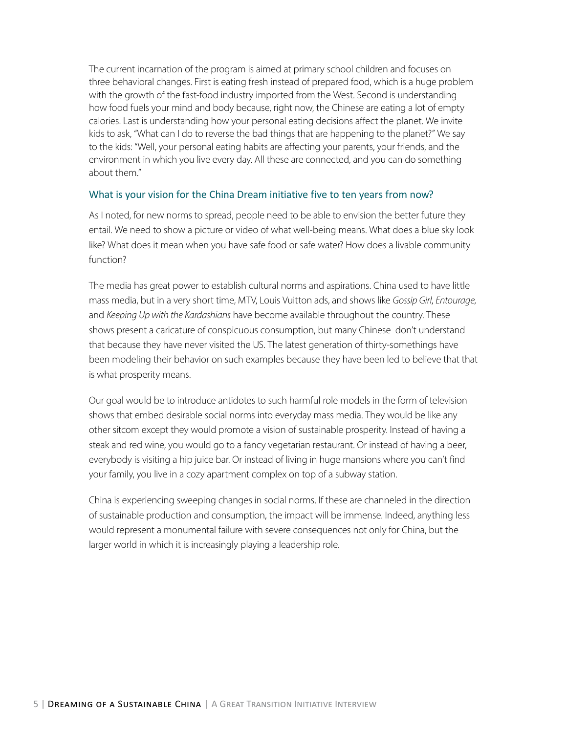The current incarnation of the program is aimed at primary school children and focuses on three behavioral changes. First is eating fresh instead of prepared food, which is a huge problem with the growth of the fast-food industry imported from the West. Second is understanding how food fuels your mind and body because, right now, the Chinese are eating a lot of empty calories. Last is understanding how your personal eating decisions affect the planet. We invite kids to ask, "What can I do to reverse the bad things that are happening to the planet?" We say to the kids: "Well, your personal eating habits are affecting your parents, your friends, and the environment in which you live every day. All these are connected, and you can do something about them."

#### What is your vision for the China Dream initiative five to ten years from now?

As I noted, for new norms to spread, people need to be able to envision the better future they entail. We need to show a picture or video of what well-being means. What does a blue sky look like? What does it mean when you have safe food or safe water? How does a livable community function?

The media has great power to establish cultural norms and aspirations. China used to have little mass media, but in a very short time, MTV, Louis Vuitton ads, and shows like *Gossip Girl*, *Entourage*, and *Keeping Up with the Kardashians* have become available throughout the country. These shows present a caricature of conspicuous consumption, but many Chinese don't understand that because they have never visited the US. The latest generation of thirty-somethings have been modeling their behavior on such examples because they have been led to believe that that is what prosperity means.

Our goal would be to introduce antidotes to such harmful role models in the form of television shows that embed desirable social norms into everyday mass media. They would be like any other sitcom except they would promote a vision of sustainable prosperity. Instead of having a steak and red wine, you would go to a fancy vegetarian restaurant. Or instead of having a beer, everybody is visiting a hip juice bar. Or instead of living in huge mansions where you can't find your family, you live in a cozy apartment complex on top of a subway station.

China is experiencing sweeping changes in social norms. If these are channeled in the direction of sustainable production and consumption, the impact will be immense. Indeed, anything less would represent a monumental failure with severe consequences not only for China, but the larger world in which it is increasingly playing a leadership role.